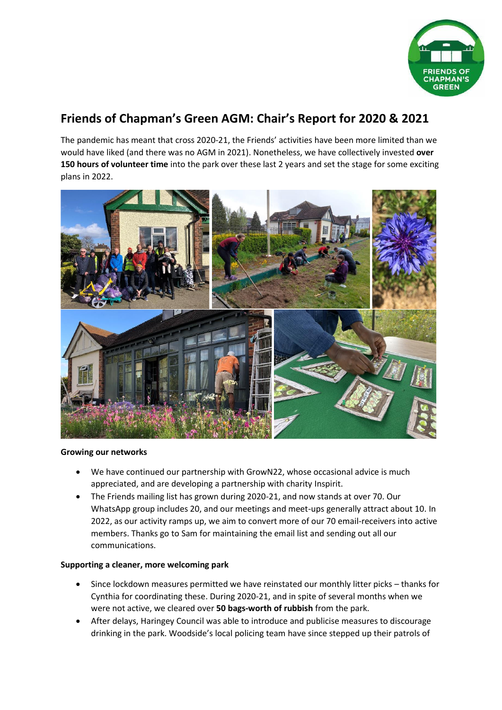

# **Friends of Chapman's Green AGM: Chair's Report for 2020 & 2021**

The pandemic has meant that cross 2020-21, the Friends' activities have been more limited than we would have liked (and there was no AGM in 2021). Nonetheless, we have collectively invested **over 150 hours of volunteer time** into the park over these last 2 years and set the stage for some exciting plans in 2022.



#### **Growing our networks**

- We have continued our partnership with GrowN22, whose occasional advice is much appreciated, and are developing a partnership with charity Inspirit.
- The Friends mailing list has grown during 2020-21, and now stands at over 70. Our WhatsApp group includes 20, and our meetings and meet-ups generally attract about 10. In 2022, as our activity ramps up, we aim to convert more of our 70 email-receivers into active members. Thanks go to Sam for maintaining the email list and sending out all our communications.

# **Supporting a cleaner, more welcoming park**

- Since lockdown measures permitted we have reinstated our monthly litter picks thanks for Cynthia for coordinating these. During 2020-21, and in spite of several months when we were not active, we cleared over **50 bags-worth of rubbish** from the park.
- After delays, Haringey Council was able to introduce and publicise measures to discourage drinking in the park. Woodside's local policing team have since stepped up their patrols of